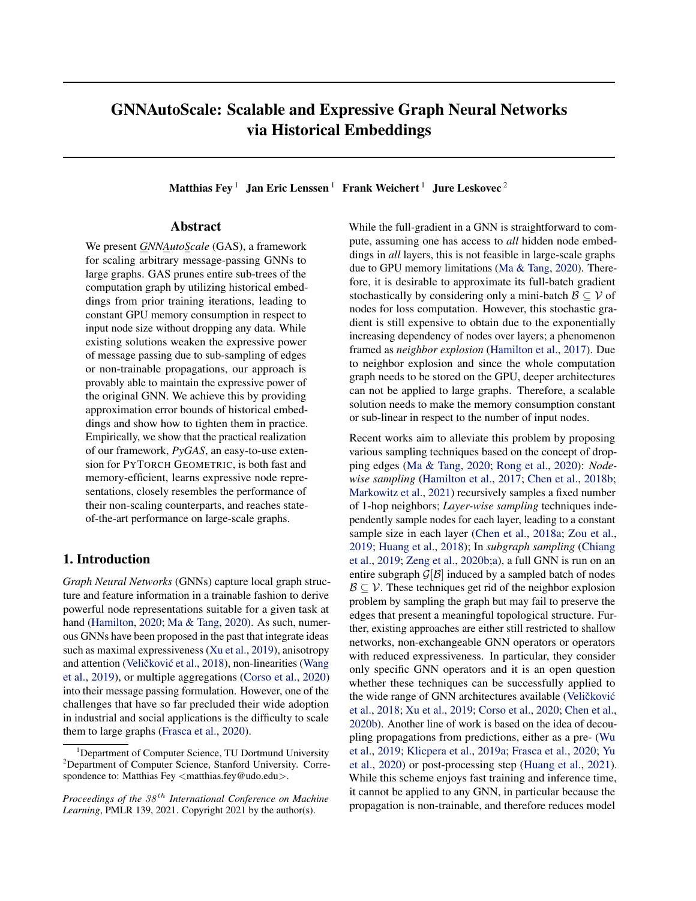# GNNAutoScale: Scalable and Expressive Graph Neural Networks via Historical Embeddings

Matthias Fey<sup>1</sup> Jan Eric Lenssen<sup>1</sup> Frank Weichert<sup>1</sup> Jure Leskovec<sup>2</sup>

### Abstract

We present *GNNAutoScale* (GAS), a framework for scaling arbitrary message-passing GNNs to large graphs. GAS prunes entire sub-trees of the computation graph by utilizing historical embeddings from prior training iterations, leading to constant GPU memory consumption in respect to input node size without dropping any data. While existing solutions weaken the expressive power of message passing due to sub-sampling of edges or non-trainable propagations, our approach is provably able to maintain the expressive power of the original GNN. We achieve this by providing approximation error bounds of historical embeddings and show how to tighten them in practice. Empirically, we show that the practical realization of our framework, *PyGAS*, an easy-to-use extension for PYTORCH GEOMETRIC, is both fast and memory-efficient, learns expressive node representations, closely resembles the performance of their non-scaling counterparts, and reaches stateof-the-art performance on large-scale graphs.

### 1. Introduction

*Graph Neural Networks* (GNNs) capture local graph structure and feature information in a trainable fashion to derive powerful node representations suitable for a given task at hand [\(Hamilton,](#page-9-0) [2020;](#page-9-0) [Ma & Tang,](#page-9-0) [2020\)](#page-9-0). As such, numerous GNNs have been proposed in the past that integrate ideas such as maximal expressiveness [\(Xu et al.,](#page-10-0) [2019\)](#page-10-0), anisotropy and attention (Veličković et al., [2018\)](#page-10-0), non-linearities [\(Wang](#page-10-0) [et al.,](#page-10-0) [2019\)](#page-10-0), or multiple aggregations [\(Corso et al.,](#page-9-0) [2020\)](#page-9-0) into their message passing formulation. However, one of the challenges that have so far precluded their wide adoption in industrial and social applications is the difficulty to scale them to large graphs [\(Frasca et al.,](#page-9-0) [2020\)](#page-9-0).

While the full-gradient in a GNN is straightforward to compute, assuming one has access to *all* hidden node embeddings in *all* layers, this is not feasible in large-scale graphs due to GPU memory limitations [\(Ma & Tang,](#page-9-0) [2020\)](#page-9-0). Therefore, it is desirable to approximate its full-batch gradient stochastically by considering only a mini-batch  $\mathcal{B} \subseteq \mathcal{V}$  of nodes for loss computation. However, this stochastic gradient is still expensive to obtain due to the exponentially increasing dependency of nodes over layers; a phenomenon framed as *neighbor explosion* [\(Hamilton et al.,](#page-9-0) [2017\)](#page-9-0). Due to neighbor explosion and since the whole computation graph needs to be stored on the GPU, deeper architectures can not be applied to large graphs. Therefore, a scalable solution needs to make the memory consumption constant or sub-linear in respect to the number of input nodes.

Recent works aim to alleviate this problem by proposing various sampling techniques based on the concept of dropping edges [\(Ma & Tang,](#page-9-0) [2020;](#page-9-0) [Rong et al.,](#page-10-0) [2020\)](#page-10-0): *Nodewise sampling* [\(Hamilton et al.,](#page-9-0) [2017;](#page-9-0) [Chen et al.,](#page-9-0) [2018b;](#page-9-0) [Markowitz et al.,](#page-9-0) [2021\)](#page-9-0) recursively samples a fixed number of 1-hop neighbors; *Layer-wise sampling* techniques independently sample nodes for each layer, leading to a constant sample size in each layer [\(Chen et al.,](#page-9-0) [2018a;](#page-9-0) [Zou et al.,](#page-10-0) [2019;](#page-10-0) [Huang et al.,](#page-9-0) [2018\)](#page-9-0); In *subgraph sampling* [\(Chiang](#page-9-0) [et al.,](#page-9-0) [2019;](#page-9-0) [Zeng et al.,](#page-10-0) [2020b;a\)](#page-10-0), a full GNN is run on an entire subgraph  $\mathcal{G}[\mathcal{B}]$  induced by a sampled batch of nodes  $B \subseteq V$ . These techniques get rid of the neighbor explosion problem by sampling the graph but may fail to preserve the edges that present a meaningful topological structure. Further, existing approaches are either still restricted to shallow networks, non-exchangeable GNN operators or operators with reduced expressiveness. In particular, they consider only specific GNN operators and it is an open question whether these techniques can be successfully applied to the wide range of GNN architectures available (Veličković [et al.,](#page-10-0) [2018;](#page-10-0) [Xu et al.,](#page-10-0) [2019;](#page-10-0) [Corso et al.,](#page-9-0) [2020;](#page-9-0) [Chen et al.,](#page-9-0) [2020b\)](#page-9-0). Another line of work is based on the idea of decoupling propagations from predictions, either as a pre- [\(Wu](#page-10-0) [et al.,](#page-10-0) [2019;](#page-10-0) [Klicpera et al.,](#page-9-0) [2019a;](#page-9-0) [Frasca et al.,](#page-9-0) [2020;](#page-9-0) [Yu](#page-10-0) [et al.,](#page-10-0) [2020\)](#page-10-0) or post-processing step [\(Huang et al.,](#page-9-0) [2021\)](#page-9-0). While this scheme enjoys fast training and inference time, it cannot be applied to any GNN, in particular because the propagation is non-trainable, and therefore reduces model

<sup>&</sup>lt;sup>1</sup>Department of Computer Science, TU Dortmund University <sup>2</sup>Department of Computer Science, Stanford University. Correspondence to: Matthias Fey  $\langle$  matthias.fey@udo.edu $\rangle$ .

*Proceedings of the*  $38<sup>th</sup>$  *International Conference on Machine Learning*, PMLR 139, 2021. Copyright 2021 by the author(s).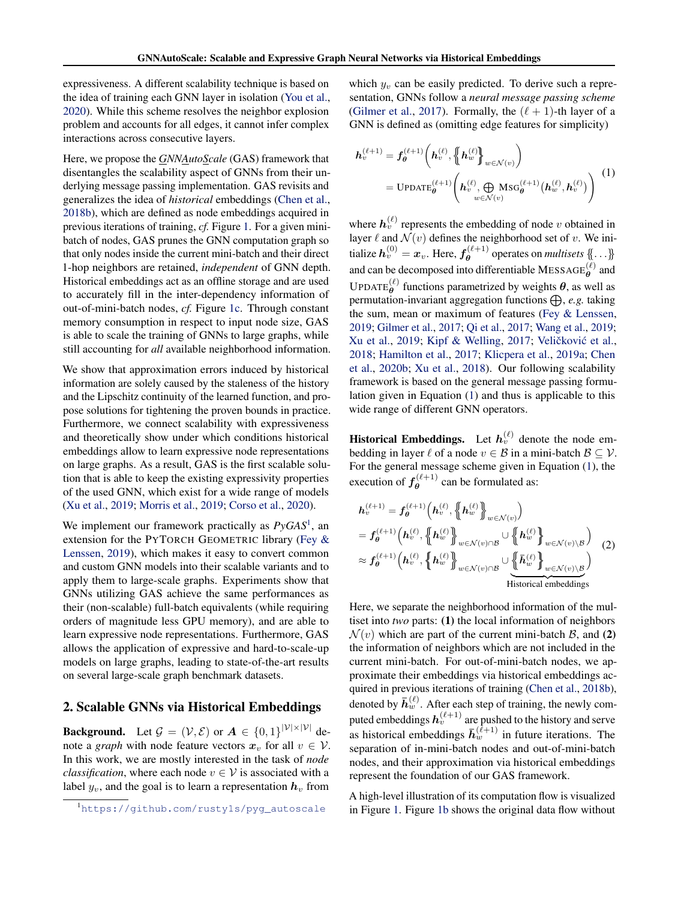<span id="page-1-0"></span>expressiveness. A different scalability technique is based on the idea of training each GNN layer in isolation [\(You et al.,](#page-10-0) [2020\)](#page-10-0). While this scheme resolves the neighbor explosion problem and accounts for all edges, it cannot infer complex interactions across consecutive layers.

Here, we propose the *GNNAutoScale* (GAS) framework that disentangles the scalability aspect of GNNs from their underlying message passing implementation. GAS revisits and generalizes the idea of *historical* embeddings [\(Chen et al.,](#page-9-0) [2018b\)](#page-9-0), which are defined as node embeddings acquired in previous iterations of training, *cf.* Figure [1.](#page-2-0) For a given minibatch of nodes, GAS prunes the GNN computation graph so that only nodes inside the current mini-batch and their direct 1-hop neighbors are retained, *independent* of GNN depth. Historical embeddings act as an offline storage and are used to accurately fill in the inter-dependency information of out-of-mini-batch nodes, *cf.* Figure [1c.](#page-2-0) Through constant memory consumption in respect to input node size, GAS is able to scale the training of GNNs to large graphs, while still accounting for *all* available neighborhood information.

We show that approximation errors induced by historical information are solely caused by the staleness of the history and the Lipschitz continuity of the learned function, and propose solutions for tightening the proven bounds in practice. Furthermore, we connect scalability with expressiveness and theoretically show under which conditions historical embeddings allow to learn expressive node representations on large graphs. As a result, GAS is the first scalable solution that is able to keep the existing expressivity properties of the used GNN, which exist for a wide range of models [\(Xu et al.,](#page-10-0) [2019;](#page-10-0) [Morris et al.,](#page-9-0) [2019;](#page-9-0) [Corso et al.,](#page-9-0) [2020\)](#page-9-0).

We implement our framework practically as *PyGAS*<sup>1</sup> , an extension for the PYTORCH GEOMETRIC library [\(Fey &](#page-9-0) [Lenssen,](#page-9-0) [2019\)](#page-9-0), which makes it easy to convert common and custom GNN models into their scalable variants and to apply them to large-scale graphs. Experiments show that GNNs utilizing GAS achieve the same performances as their (non-scalable) full-batch equivalents (while requiring orders of magnitude less GPU memory), and are able to learn expressive node representations. Furthermore, GAS allows the application of expressive and hard-to-scale-up models on large graphs, leading to state-of-the-art results on several large-scale graph benchmark datasets.

### 2. Scalable GNNs via Historical Embeddings

**Background.** Let  $\mathcal{G} = (\mathcal{V}, \mathcal{E})$  or  $\mathbf{A} \in \{0, 1\}^{|\mathcal{V}| \times |\mathcal{V}|}$  denote a *graph* with node feature vectors  $x_v$  for all  $v \in V$ . In this work, we are mostly interested in the task of *node classification*, where each node  $v \in V$  is associated with a label  $y_v$ , and the goal is to learn a representation  $h_v$  from

which  $y_v$  can be easily predicted. To derive such a representation, GNNs follow a *neural message passing scheme* [\(Gilmer et al.,](#page-9-0) [2017\)](#page-9-0). Formally, the  $(\ell + 1)$ -th layer of a GNN is defined as (omitting edge features for simplicity)

$$
h_v^{(\ell+1)} = f_{\theta}^{(\ell+1)} \left( h_v^{(\ell)}, \left\{ h_w^{(\ell)} \right\}_{w \in \mathcal{N}(v)} \right)
$$
  
= Up
$$
UPDATE_{\theta}^{(\ell+1)} \left( h_v^{(\ell)}, \bigoplus_{w \in \mathcal{N}(v)} \text{MSG}_{\theta}^{(\ell+1)} \left( h_w^{(\ell)}, h_v^{(\ell)} \right) \right)
$$
 (1)

where  $h_v^{(\ell)}$  represents the embedding of node v obtained in layer  $\ell$  and  $\mathcal{N}(v)$  defines the neighborhood set of v. We initialize  $\bm{h}_v^{(0)} = \bm{x}_v$ . Here,  $\bm{f}_{\bm{\theta}}^{(\ell+1)}$  $\theta$  operates on *multisets*  $\{\} \ldots \}$ and can be decomposed into differentiable MESSAGE $_{\theta}^{(\ell)}$  and UPDATE $_{\theta}^{(\ell)}$  functions parametrized by weights  $\theta$ , as well as permutation-invariant aggregation functions  $\bigoplus$ , *e.g.* taking the sum, mean or maximum of features [\(Fey & Lenssen,](#page-9-0) [2019;](#page-9-0) [Gilmer et al.,](#page-9-0) [2017;](#page-9-0) [Qi et al.,](#page-10-0) [2017;](#page-10-0) [Wang et al.,](#page-10-0) [2019;](#page-10-0) [Xu et al.,](#page-10-0) [2019;](#page-10-0) [Kipf & Welling,](#page-9-0) [2017;](#page-9-0) Veličković et al., [2018;](#page-10-0) [Hamilton et al.,](#page-9-0) [2017;](#page-9-0) [Klicpera et al.,](#page-9-0) [2019a;](#page-9-0) [Chen](#page-9-0) [et al.,](#page-9-0) [2020b;](#page-9-0) [Xu et al.,](#page-10-0) [2018\)](#page-10-0). Our following scalability framework is based on the general message passing formulation given in Equation (1) and thus is applicable to this wide range of different GNN operators.

**Historical Embeddings.** Let  $h_v^{(\ell)}$  denote the node embedding in layer  $\ell$  of a node  $v \in \mathcal{B}$  in a mini-batch  $\mathcal{B} \subset \mathcal{V}$ . For the general message scheme given in Equation (1), the execution of  $f_{\theta}^{(\ell+1)}$  $\theta$ <sup>( $\ell+1$ )</sup> can be formulated as:

$$
h_v^{(\ell+1)} = f_\theta^{(\ell+1)} \left( h_v^{(\ell)}, \left\{ h_w^{(\ell)} \right\}_{w \in \mathcal{N}(v)} \right)
$$
  
\n
$$
= f_\theta^{(\ell+1)} \left( h_v^{(\ell)}, \left\{ h_w^{(\ell)} \right\}_{w \in \mathcal{N}(v) \cap \mathcal{B}} \cup \left\{ h_w^{(\ell)} \right\}_{w \in \mathcal{N}(v) \setminus \mathcal{B}} \right)
$$
  
\n
$$
\approx f_\theta^{(\ell+1)} \left( h_v^{(\ell)}, \left\{ h_w^{(\ell)} \right\}_{w \in \mathcal{N}(v) \cap \mathcal{B}} \cup \underbrace{\left\{ \bar{h}_w^{(\ell)} \right\}_{w \in \mathcal{N}(v) \setminus \mathcal{B}}} \right)
$$
  
\nHistorical embeddings (2)

Here, we separate the neighborhood information of the multiset into *two* parts: (1) the local information of neighbors  $\mathcal{N}(v)$  which are part of the current mini-batch  $\mathcal{B}$ , and (2) the information of neighbors which are not included in the current mini-batch. For out-of-mini-batch nodes, we approximate their embeddings via historical embeddings acquired in previous iterations of training [\(Chen et al.,](#page-9-0) [2018b\)](#page-9-0), denoted by  $\bar{h}_w^{(\ell)}$ . After each step of training, the newly computed embeddings  $\bm{h}_v^{(\ell+1)}$  are pushed to the history and serve as historical embeddings  $\bar{h}_w^{(\ell+1)}$  in future iterations. The separation of in-mini-batch nodes and out-of-mini-batch nodes, and their approximation via historical embeddings represent the foundation of our GAS framework.

A high-level illustration of its computation flow is visualized in Figure [1.](#page-2-0) Figure [1b](#page-2-0) shows the original data flow without

<sup>1</sup>[https://github.com/rusty1s/pyg\\_autoscale](https://github.com/rusty1s/pyg_autoscale)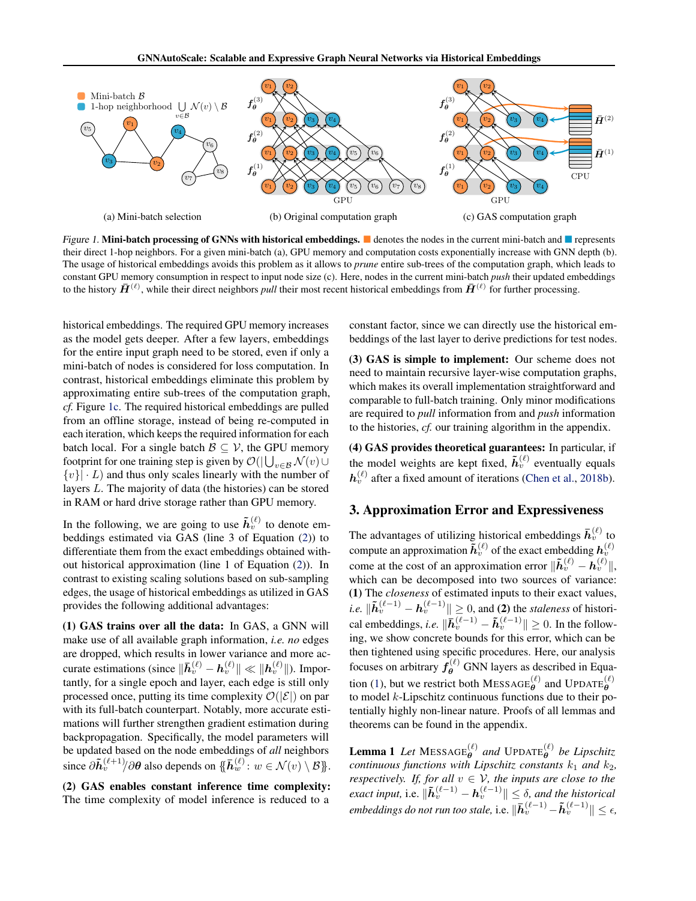<span id="page-2-0"></span>

Figure 1. Mini-batch processing of GNNs with historical embeddings.  $\blacksquare$  denotes the nodes in the current mini-batch and  $\blacksquare$  represents their direct 1-hop neighbors. For a given mini-batch (a), GPU memory and computation costs exponentially increase with GNN depth (b). The usage of historical embeddings avoids this problem as it allows to *prune* entire sub-trees of the computation graph, which leads to constant GPU memory consumption in respect to input node size (c). Here, nodes in the current mini-batch *push* their updated embeddings to the history  $\bar{H}^{(\ell)}$ , while their direct neighbors *pull* their most recent historical embeddings from  $\bar{H}^{(\ell)}$  for further processing.

historical embeddings. The required GPU memory increases as the model gets deeper. After a few layers, embeddings for the entire input graph need to be stored, even if only a mini-batch of nodes is considered for loss computation. In contrast, historical embeddings eliminate this problem by approximating entire sub-trees of the computation graph, *cf.* Figure 1c. The required historical embeddings are pulled from an offline storage, instead of being re-computed in each iteration, which keeps the required information for each batch local. For a single batch  $\mathcal{B} \subseteq \mathcal{V}$ , the GPU memory footprint for one training step is given by  $\mathcal{O}(|\bigcup_{v\in\mathcal{B}}\mathcal{N}(v)\cup$  $\{v\}$   $\cdot$  L) and thus only scales linearly with the number of layers L. The majority of data (the histories) can be stored in RAM or hard drive storage rather than GPU memory.

In the following, we are going to use  $\tilde{h}_v^{(\ell)}$  to denote embeddings estimated via GAS (line 3 of Equation [\(2\)](#page-1-0)) to differentiate them from the exact embeddings obtained without historical approximation (line 1 of Equation [\(2\)](#page-1-0)). In contrast to existing scaling solutions based on sub-sampling edges, the usage of historical embeddings as utilized in GAS provides the following additional advantages:

(1) GAS trains over all the data: In GAS, a GNN will make use of all available graph information, *i.e. no* edges are dropped, which results in lower variance and more accurate estimations (since  $\|\bar{h}_v^{(\ell)} - h_v^{(\ell)}\| \ll \|h_v^{(\ell)}\|$ ). Importantly, for a single epoch and layer, each edge is still only processed once, putting its time complexity  $\mathcal{O}(|\mathcal{E}|)$  on par with its full-batch counterpart. Notably, more accurate estimations will further strengthen gradient estimation during backpropagation. Specifically, the model parameters will be updated based on the node embeddings of *all* neighbors since  $\partial \tilde{h}_v^{(\ell+1)}/\partial \theta$  also depends on  $\{\bar{h}_w^{(\ell)}: w \in \mathcal{N}(v) \setminus \mathcal{B}\}\.$ 

(2) GAS enables constant inference time complexity: The time complexity of model inference is reduced to a

constant factor, since we can directly use the historical embeddings of the last layer to derive predictions for test nodes.

(3) GAS is simple to implement: Our scheme does not need to maintain recursive layer-wise computation graphs, which makes its overall implementation straightforward and comparable to full-batch training. Only minor modifications are required to *pull* information from and *push* information to the histories, *cf.* our training algorithm in the appendix.

(4) GAS provides theoretical guarantees: In particular, if the model weights are kept fixed,  $\tilde{h}_{v}^{(\ell)}$  eventually equals  $\mathbf{h}_v^{(\ell)}$  after a fixed amount of iterations [\(Chen et al.,](#page-9-0) [2018b\)](#page-9-0).

#### 3. Approximation Error and Expressiveness

The advantages of utilizing historical embeddings  $\bar{h}_v^{(\ell)}$  to compute an approximation  $\tilde{h}_v^{(\ell)}$  of the exact embedding  $h_v^{(\ell)}$ come at the cost of an approximation error  $\|\tilde{h}_v^{(\ell)} - h_v^{(\ell)}\|$ , which can be decomposed into two sources of variance: (1) The *closeness* of estimated inputs to their exact values, *i.e.*  $\|\tilde{\boldsymbol{h}}_v^{(\ell-1)} - \boldsymbol{h}_v^{(\ell-1)}\| \geq 0$ , and (2) the *staleness* of historical embeddings, *i.e.*  $\|\bar{h}_v^{(\ell-1)} - \tilde{h}_v^{(\ell-1)} \| \ge 0$ . In the following, we show concrete bounds for this error, which can be then tightened using specific procedures. Here, our analysis focuses on arbitrary  $f_{\theta}^{(\ell)}$  GNN layers as described in Equa-tion [\(1\)](#page-1-0), but we restrict both MESSAGE $_{\theta}^{(\ell)}$  and UPDATE $_{\theta}^{(\ell)}$ to model  $k$ -Lipschitz continuous functions due to their potentially highly non-linear nature. Proofs of all lemmas and theorems can be found in the appendix.

**Lemma 1** Let  $MESSAGE^{(\ell)}_{\theta}$  and  $UPDATE^{(\ell)}_{\theta}$  be Lipschitz *continuous functions with Lipschitz constants*  $k_1$  *and*  $k_2$ *, respectively. If, for all*  $v \in V$ *, the inputs are close to the exact input, i.e.*  $\|\tilde{h}_v^{(\ell-1)} - h_v^{(\ell-1)}\| \leq \delta$ , and the historical *embeddings do not run too stale,* i.e.  $\|\bar{h}_v^{(\ell-1)} - \tilde{h}_v^{(\ell-1)}\| \leq \epsilon$ ,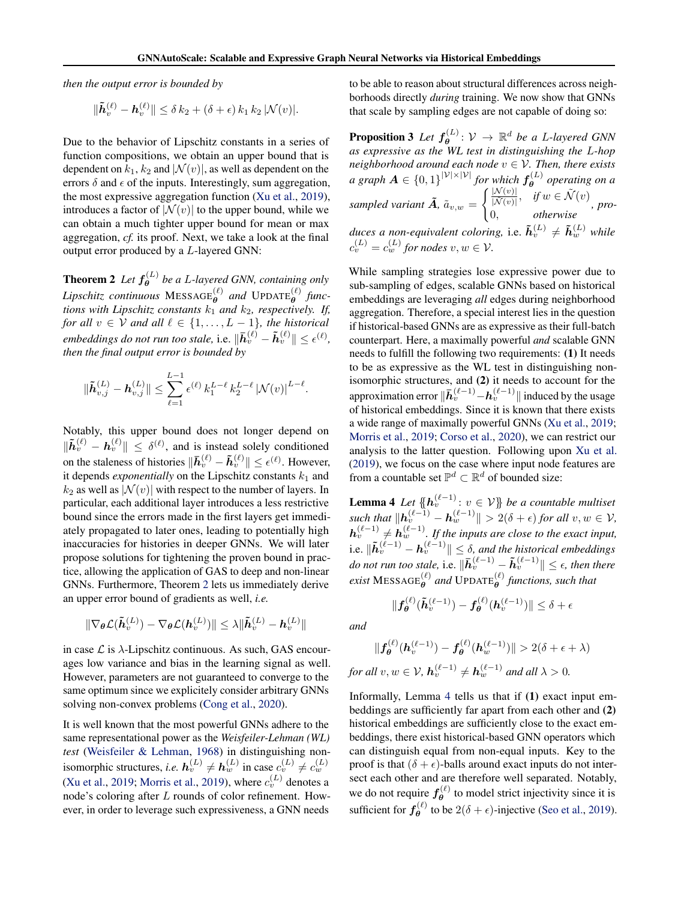<span id="page-3-0"></span>*then the output error is bounded by*

$$
\|\tilde{\boldsymbol{h}}_v^{(\ell)} - \boldsymbol{h}_v^{(\ell)}\| \le \delta k_2 + (\delta + \epsilon) k_1 k_2 |\mathcal{N}(v)|.
$$

Due to the behavior of Lipschitz constants in a series of function compositions, we obtain an upper bound that is dependent on  $k_1$ ,  $k_2$  and  $|\mathcal{N}(v)|$ , as well as dependent on the errors  $\delta$  and  $\epsilon$  of the inputs. Interestingly, sum aggregation, the most expressive aggregation function [\(Xu et al.,](#page-10-0) [2019\)](#page-10-0), introduces a factor of  $|\mathcal{N}(v)|$  to the upper bound, while we can obtain a much tighter upper bound for mean or max aggregation, *cf.* its proof. Next, we take a look at the final output error produced by a L-layered GNN:

**Theorem 2** Let  $f_{\theta}^{(L)}$ θ *be a* L*-layered GNN, containing only*  $Lipschitz$  continuous  $\mathrm{MESSAGE}^{(\ell)}_{\boldsymbol{\theta}}$  and  $\mathrm{UPDATE}^{(\ell)}_{\boldsymbol{\theta}}$  func*tions with Lipschitz constants*  $k_1$  *and*  $k_2$ *, respectively. If, for all*  $v \in V$  *and all*  $\ell \in \{1, \ldots, L-1\}$ *, the historical embeddings do not run too stale,* i.e.  $\|\bar{h}_v^{(\ell)} - \tilde{h}_v^{(\ell)}\| \leq \epsilon^{(\ell)}$ , *then the final output error is bounded by*

$$
\|\tilde{\bm{h}}_{v,j}^{(L)} - \bm{h}_{v,j}^{(L)}\| \leq \sum_{\ell=1}^{L-1} \epsilon^{(\ell)} k_1^{L-\ell} k_2^{L-\ell} |\mathcal{N}(v)|^{L-\ell}.
$$

Notably, this upper bound does not longer depend on  $\|\tilde{h}_v^{(\ell)} - h_v^{(\ell)}\| \leq \delta^{(\ell)}$ , and is instead solely conditioned on the staleness of histories  $\|\bar{h}_v^{(\ell)} - \tilde{h}_v^{(\ell)}\| \le \epsilon^{(\ell)}$ . However, it depends *exponentially* on the Lipschitz constants  $k_1$  and  $k_2$  as well as  $|\mathcal{N}(v)|$  with respect to the number of layers. In particular, each additional layer introduces a less restrictive bound since the errors made in the first layers get immediately propagated to later ones, leading to potentially high inaccuracies for histories in deeper GNNs. We will later propose solutions for tightening the proven bound in practice, allowing the application of GAS to deep and non-linear GNNs. Furthermore, Theorem 2 lets us immediately derive an upper error bound of gradients as well, *i.e.*

$$
\|\nabla_{\boldsymbol{\theta}}\mathcal{L}(\tilde{\boldsymbol{h}}^{(L)}_{v}) - \nabla_{\boldsymbol{\theta}}\mathcal{L}(\boldsymbol{h}^{(L)}_{v})\| \leq \lambda\|\tilde{\boldsymbol{h}}^{(L)}_{v} - \boldsymbol{h}^{(L)}_{v}\|
$$

in case  $\mathcal L$  is  $\lambda$ -Lipschitz continuous. As such, GAS encourages low variance and bias in the learning signal as well. However, parameters are not guaranteed to converge to the same optimum since we explicitely consider arbitrary GNNs solving non-convex problems [\(Cong et al.,](#page-9-0) [2020\)](#page-9-0).

It is well known that the most powerful GNNs adhere to the same representational power as the *Weisfeiler-Lehman (WL) test* [\(Weisfeiler & Lehman,](#page-10-0) [1968\)](#page-10-0) in distinguishing nonisomorphic structures, *i.e.*  $h_v^{(L)} \neq h_w^{(L)}$  in case  $c_v^{(L)} \neq c_w^{(L)}$ [\(Xu et al.,](#page-10-0) [2019;](#page-10-0) [Morris et al.,](#page-9-0) [2019\)](#page-9-0), where  $c_v^{(L)}$  denotes a node's coloring after L rounds of color refinement. However, in order to leverage such expressiveness, a GNN needs

to be able to reason about structural differences across neighborhoods directly *during* training. We now show that GNNs that scale by sampling edges are not capable of doing so:

**Proposition 3** Let  $f_{\theta}^{(L)}$  $\theta$ <sup>(L)</sup>:  $\mathcal{V} \rightarrow \mathbb{R}^d$  be a L-layered GNN *as expressive as the WL test in distinguishing the* L*-hop neighborhood around each node*  $v \in V$ *. Then, there exists a* graph  $A \in \{0,1\}^{|\mathcal{V}|\times|\mathcal{V}|}$  for which  $f_{\theta}^{(L)}$ θ *operating on a sampled variant*  $\tilde{A}$ *,*  $\tilde{a}_{v,w}$  *=*  $\int$   $\frac{|N(v)|}{|N(v)|}$  $\frac{|N(v)|}{|\tilde{N}(v)|}, \quad \text{if } w \in \tilde{N}(v)$ 0, *otherwise , produces a non-equivalent coloring, i.e.*  $\tilde{h}_v^{(L)} \neq \tilde{h}_w^{(L)}$  while  $c_v^{(L)} = c_w^{(L)}$  for nodes  $v, w \in V$ .

While sampling strategies lose expressive power due to sub-sampling of edges, scalable GNNs based on historical embeddings are leveraging *all* edges during neighborhood aggregation. Therefore, a special interest lies in the question if historical-based GNNs are as expressive as their full-batch counterpart. Here, a maximally powerful *and* scalable GNN needs to fulfill the following two requirements: (1) It needs to be as expressive as the WL test in distinguishing nonisomorphic structures, and (2) it needs to account for the approximation error  $\|\bar{h}_v^{(\ell-1)} - h_v^{(\ell-1)}\|$  induced by the usage of historical embeddings. Since it is known that there exists a wide range of maximally powerful GNNs [\(Xu et al.,](#page-10-0) [2019;](#page-10-0) [Morris et al.,](#page-9-0) [2019;](#page-9-0) [Corso et al.,](#page-9-0) [2020\)](#page-9-0), we can restrict our analysis to the latter question. Following upon [Xu et al.](#page-10-0) [\(2019\)](#page-10-0), we focus on the case where input node features are from a countable set  $\mathbb{P}^d \subset \mathbb{R}^d$  of bounded size:

**Lemma 4** *Let*  $\{\phi_v^{(\ell-1)} : v \in V\}$  *be a countable multiset*  $\| \mathbf{z}(\mathbf{z}(\mathbf{z})) - \mathbf{z}(\mathbf{z}(\mathbf{z}(\mathbf{z}))) \| > 2(\delta + \epsilon)$  *for all*  $v, w \in \mathcal{V}$ *,*  $h_v^{(\ell-1)} \neq h_w^{(\ell-1)}$ . If the inputs are close to the exact input, i.e.  $\|\tilde{\boldsymbol{h}}_v^{(\ell-1)} - \boldsymbol{h}_v^{(\ell-1)}\| \leq \delta$ , and the historical embeddings *do not run too stale,* i.e.  $\|\bar{h}_{v}^{(\ell-1)} - \tilde{h}_{v}^{(\ell-1)}\| \leq \epsilon$ , then there  $\epsilon$ *exist* MESSAGE $_{\theta}^{(\ell)}$  and UPDATE $_{\theta}^{(\ell)}$  functions, such that

 $\|\boldsymbol{h}_v^{(\ell)}(\boldsymbol{h}_v^{(\ell-1)})\| \leq \delta + \epsilon$ 

*and*

 $\|f_{\theta}^{(\ell)}$ 

$$
\|f_{\theta}^{(\ell)}(h_v^{(\ell-1)}) - f_{\theta}^{(\ell)}(h_w^{(\ell-1)})\| > 2(\delta + \epsilon + \lambda)
$$
  
for all  $v, w \in \mathcal{V}$ ,  $h_v^{(\ell-1)} \neq h_w^{(\ell-1)}$  and all  $\lambda > 0$ .

 $f^{(\ell)}_{\boldsymbol{\theta}}(\tilde{\boldsymbol{h}}_{v}^{(\ell-1)})-f^{(\ell)}_{\boldsymbol{\theta}}$ 

Informally, Lemma 4 tells us that if (1) exact input embeddings are sufficiently far apart from each other and (2) historical embeddings are sufficiently close to the exact embeddings, there exist historical-based GNN operators which can distinguish equal from non-equal inputs. Key to the proof is that  $(\delta + \epsilon)$ -balls around exact inputs do not intersect each other and are therefore well separated. Notably, we do not require  $f_{\theta}^{(\ell)}$  $\theta$ <sup>(*e*)</sup> to model strict injectivity since it is sufficient for  $f_{\theta}^{(\ell)}$  $\theta_{\theta}^{(k)}$  to be  $2(\delta + \epsilon)$ -injective [\(Seo et al.,](#page-10-0) [2019\)](#page-10-0).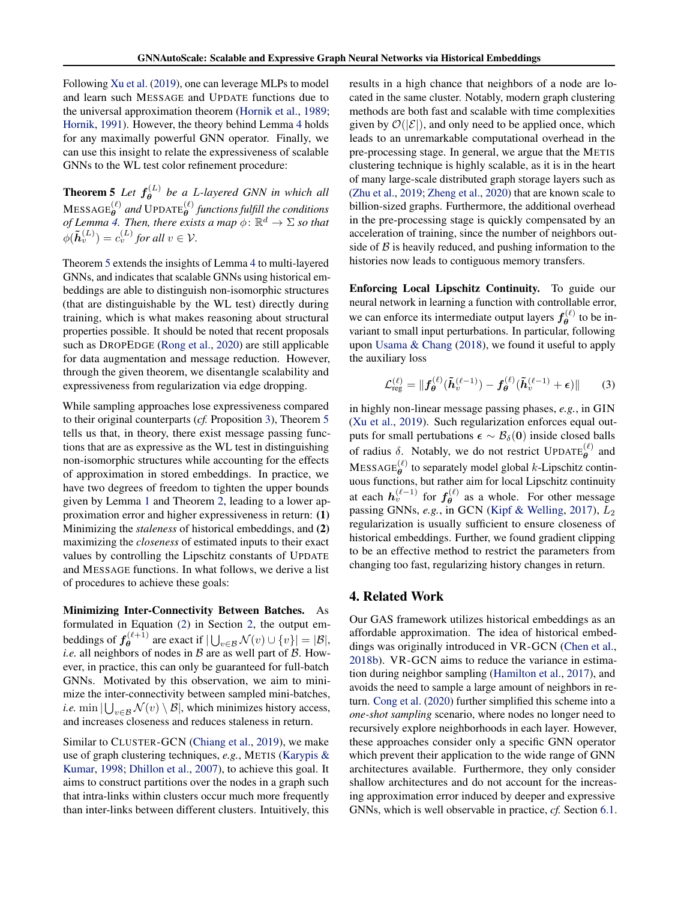Following [Xu et al.](#page-10-0) [\(2019\)](#page-10-0), one can leverage MLPs to model and learn such MESSAGE and UPDATE functions due to the universal approximation theorem [\(Hornik et al.,](#page-9-0) [1989;](#page-9-0) [Hornik,](#page-9-0) [1991\)](#page-9-0). However, the theory behind Lemma [4](#page-3-0) holds for any maximally powerful GNN operator. Finally, we can use this insight to relate the expressiveness of scalable GNNs to the WL test color refinement procedure:

**Theorem 5** Let  $f_{\theta}^{(L)}$ θ *be a* L*-layered GNN in which all*  $\text{MESAGE}^{(\ell)}_{\boldsymbol{\theta}}$  and  $\text{UPDATE}^{(\ell)}_{\boldsymbol{\theta}}$  functions fulfill the conditions *of Lemma [4.](#page-3-0) Then, there exists a map*  $\phi \colon \mathbb{R}^d \to \Sigma$  *so that*  $\phi(\tilde{\boldsymbol{h}}_v^{(L)}) = c_v^{(L)}$  for all  $v \in \mathcal{V}$ .

Theorem 5 extends the insights of Lemma [4](#page-3-0) to multi-layered GNNs, and indicates that scalable GNNs using historical embeddings are able to distinguish non-isomorphic structures (that are distinguishable by the WL test) directly during training, which is what makes reasoning about structural properties possible. It should be noted that recent proposals such as DROPEDGE [\(Rong et al.,](#page-10-0) [2020\)](#page-10-0) are still applicable for data augmentation and message reduction. However, through the given theorem, we disentangle scalability and expressiveness from regularization via edge dropping.

While sampling approaches lose expressiveness compared to their original counterparts (*cf.* Proposition [3\)](#page-3-0), Theorem 5 tells us that, in theory, there exist message passing functions that are as expressive as the WL test in distinguishing non-isomorphic structures while accounting for the effects of approximation in stored embeddings. In practice, we have two degrees of freedom to tighten the upper bounds given by Lemma [1](#page-2-0) and Theorem [2,](#page-3-0) leading to a lower approximation error and higher expressiveness in return: (1) Minimizing the *staleness* of historical embeddings, and (2) maximizing the *closeness* of estimated inputs to their exact values by controlling the Lipschitz constants of UPDATE and MESSAGE functions. In what follows, we derive a list of procedures to achieve these goals:

Minimizing Inter-Connectivity Between Batches. As formulated in Equation [\(2\)](#page-1-0) in Section [2,](#page-1-0) the output embeddings of  $f_{\theta}^{(\ell+1)}$  $\theta_{\theta}^{(\ell+1)}$  are exact if  $|\bigcup_{v \in \mathcal{B}} \mathcal{N}(v) \cup \{v\}| = |\mathcal{B}|,$ *i.e.* all neighbors of nodes in  $B$  are as well part of  $B$ . However, in practice, this can only be guaranteed for full-batch GNNs. Motivated by this observation, we aim to minimize the inter-connectivity between sampled mini-batches, *i.e.* min  $|\bigcup_{v \in \mathcal{B}} \mathcal{N}(v) \setminus \mathcal{B}|$ , which minimizes history access, and increases closeness and reduces staleness in return.

Similar to CLUSTER-GCN [\(Chiang et al.,](#page-9-0) [2019\)](#page-9-0), we make use of graph clustering techniques, *e.g.*, METIS [\(Karypis &](#page-9-0) [Kumar,](#page-9-0) [1998;](#page-9-0) [Dhillon et al.,](#page-9-0) [2007\)](#page-9-0), to achieve this goal. It aims to construct partitions over the nodes in a graph such that intra-links within clusters occur much more frequently than inter-links between different clusters. Intuitively, this

results in a high chance that neighbors of a node are located in the same cluster. Notably, modern graph clustering methods are both fast and scalable with time complexities given by  $\mathcal{O}(|\mathcal{E}|)$ , and only need to be applied once, which leads to an unremarkable computational overhead in the pre-processing stage. In general, we argue that the METIS clustering technique is highly scalable, as it is in the heart of many large-scale distributed graph storage layers such as [\(Zhu et al.,](#page-10-0) [2019;](#page-10-0) [Zheng et al.,](#page-10-0) [2020\)](#page-10-0) that are known scale to billion-sized graphs. Furthermore, the additional overhead in the pre-processing stage is quickly compensated by an acceleration of training, since the number of neighbors outside of  $\beta$  is heavily reduced, and pushing information to the histories now leads to contiguous memory transfers.

Enforcing Local Lipschitz Continuity. To guide our neural network in learning a function with controllable error, we can enforce its intermediate output layers  $f_{\theta}^{(\ell)}$  $\theta^{(k)}$  to be invariant to small input perturbations. In particular, following upon [Usama & Chang](#page-10-0) [\(2018\)](#page-10-0), we found it useful to apply the auxiliary loss

$$
\mathcal{L}_{\mathrm{reg}}^{(\ell)} = \|f_{\theta}^{(\ell)}(\tilde{\boldsymbol{h}}_v^{(\ell-1)}) - f_{\theta}^{(\ell)}(\tilde{\boldsymbol{h}}_v^{(\ell-1)} + \boldsymbol{\epsilon})\| \qquad (3)
$$

in highly non-linear message passing phases, *e.g.*, in GIN [\(Xu et al.,](#page-10-0) [2019\)](#page-10-0). Such regularization enforces equal outputs for small pertubations  $\epsilon \sim \mathcal{B}_{\delta}(0)$  inside closed balls of radius  $\delta$ . Notably, we do not restrict UPDATE $_{\theta}^{(\ell)}$  and  $MESSAGE^{(\ell)}_{\theta}$  to separately model global k-Lipschitz continuous functions, but rather aim for local Lipschitz continuity at each  $h_v^{(\ell-1)}$  for  $f_{\theta}^{(\ell)}$  $\theta$  as a whole. For other message passing GNNs, *e.g.*, in GCN [\(Kipf & Welling,](#page-9-0) [2017\)](#page-9-0),  $L_2$ regularization is usually sufficient to ensure closeness of historical embeddings. Further, we found gradient clipping to be an effective method to restrict the parameters from changing too fast, regularizing history changes in return.

#### 4. Related Work

Our GAS framework utilizes historical embeddings as an affordable approximation. The idea of historical embeddings was originally introduced in VR-GCN [\(Chen et al.,](#page-9-0) [2018b\)](#page-9-0). VR-GCN aims to reduce the variance in estimation during neighbor sampling [\(Hamilton et al.,](#page-9-0) [2017\)](#page-9-0), and avoids the need to sample a large amount of neighbors in return. [Cong et al.](#page-9-0) [\(2020\)](#page-9-0) further simplified this scheme into a *one-shot sampling* scenario, where nodes no longer need to recursively explore neighborhoods in each layer. However, these approaches consider only a specific GNN operator which prevent their application to the wide range of GNN architectures available. Furthermore, they only consider shallow architectures and do not account for the increasing approximation error induced by deeper and expressive GNNs, which is well observable in practice, *cf.* Section [6.1.](#page-5-0)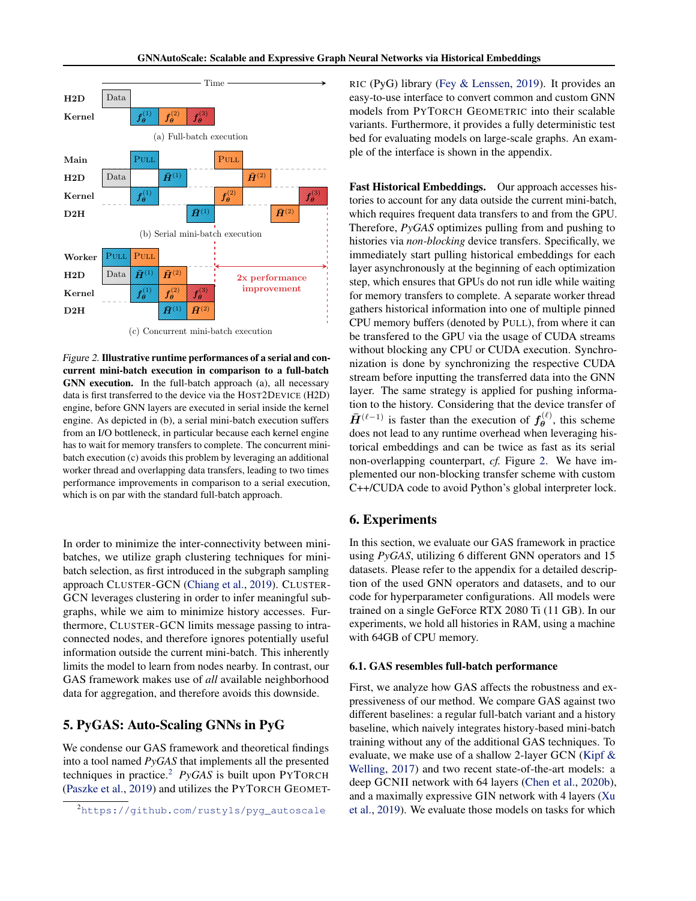<span id="page-5-0"></span>

(c) Concurrent mini-batch execution

Figure 2. Illustrative runtime performances of a serial and concurrent mini-batch execution in comparison to a full-batch GNN execution. In the full-batch approach (a), all necessary data is first transferred to the device via the HOST2DEVICE (H2D) engine, before GNN layers are executed in serial inside the kernel engine. As depicted in (b), a serial mini-batch execution suffers from an I/O bottleneck, in particular because each kernel engine has to wait for memory transfers to complete. The concurrent minibatch execution (c) avoids this problem by leveraging an additional worker thread and overlapping data transfers, leading to two times performance improvements in comparison to a serial execution, which is on par with the standard full-batch approach.

In order to minimize the inter-connectivity between minibatches, we utilize graph clustering techniques for minibatch selection, as first introduced in the subgraph sampling approach CLUSTER-GCN [\(Chiang et al.,](#page-9-0) [2019\)](#page-9-0). CLUSTER-GCN leverages clustering in order to infer meaningful subgraphs, while we aim to minimize history accesses. Furthermore, CLUSTER-GCN limits message passing to intraconnected nodes, and therefore ignores potentially useful information outside the current mini-batch. This inherently limits the model to learn from nodes nearby. In contrast, our GAS framework makes use of *all* available neighborhood data for aggregation, and therefore avoids this downside.

## 5. PyGAS: Auto-Scaling GNNs in PyG

We condense our GAS framework and theoretical findings into a tool named *PyGAS* that implements all the presented techniques in practice.<sup>2</sup> *PyGAS* is built upon PYTORCH [\(Paszke et al.,](#page-9-0) [2019\)](#page-9-0) and utilizes the PYTORCH GEOMET- RIC (PyG) library [\(Fey & Lenssen,](#page-9-0) [2019\)](#page-9-0). It provides an easy-to-use interface to convert common and custom GNN models from PYTORCH GEOMETRIC into their scalable variants. Furthermore, it provides a fully deterministic test bed for evaluating models on large-scale graphs. An example of the interface is shown in the appendix.

Fast Historical Embeddings. Our approach accesses histories to account for any data outside the current mini-batch, which requires frequent data transfers to and from the GPU. Therefore, *PyGAS* optimizes pulling from and pushing to histories via *non-blocking* device transfers. Specifically, we immediately start pulling historical embeddings for each layer asynchronously at the beginning of each optimization step, which ensures that GPUs do not run idle while waiting for memory transfers to complete. A separate worker thread gathers historical information into one of multiple pinned CPU memory buffers (denoted by PULL), from where it can be transfered to the GPU via the usage of CUDA streams without blocking any CPU or CUDA execution. Synchronization is done by synchronizing the respective CUDA stream before inputting the transferred data into the GNN layer. The same strategy is applied for pushing information to the history. Considering that the device transfer of  $\bar{H}^{(\ell-1)}$  is faster than the execution of  $f_{\theta}^{(\ell)}$  $\theta^{(\ell)}$ , this scheme does not lead to any runtime overhead when leveraging historical embeddings and can be twice as fast as its serial non-overlapping counterpart, *cf.* Figure 2. We have implemented our non-blocking transfer scheme with custom C++/CUDA code to avoid Python's global interpreter lock.

### 6. Experiments

In this section, we evaluate our GAS framework in practice using *PyGAS*, utilizing 6 different GNN operators and 15 datasets. Please refer to the appendix for a detailed description of the used GNN operators and datasets, and to our code for hyperparameter configurations. All models were trained on a single GeForce RTX 2080 Ti (11 GB). In our experiments, we hold all histories in RAM, using a machine with 64GB of CPU memory.

#### 6.1. GAS resembles full-batch performance

First, we analyze how GAS affects the robustness and expressiveness of our method. We compare GAS against two different baselines: a regular full-batch variant and a history baseline, which naively integrates history-based mini-batch training without any of the additional GAS techniques. To evaluate, we make use of a shallow 2-layer GCN [\(Kipf &](#page-9-0) [Welling,](#page-9-0) [2017\)](#page-9-0) and two recent state-of-the-art models: a deep GCNII network with 64 layers [\(Chen et al.,](#page-9-0) [2020b\)](#page-9-0), and a maximally expressive GIN network with 4 layers [\(Xu](#page-10-0) [et al.,](#page-10-0) [2019\)](#page-10-0). We evaluate those models on tasks for which

<sup>&</sup>lt;sup>2</sup>[https://github.com/rusty1s/pyg\\_autoscale](https://github.com/rusty1s/pyg_autoscale)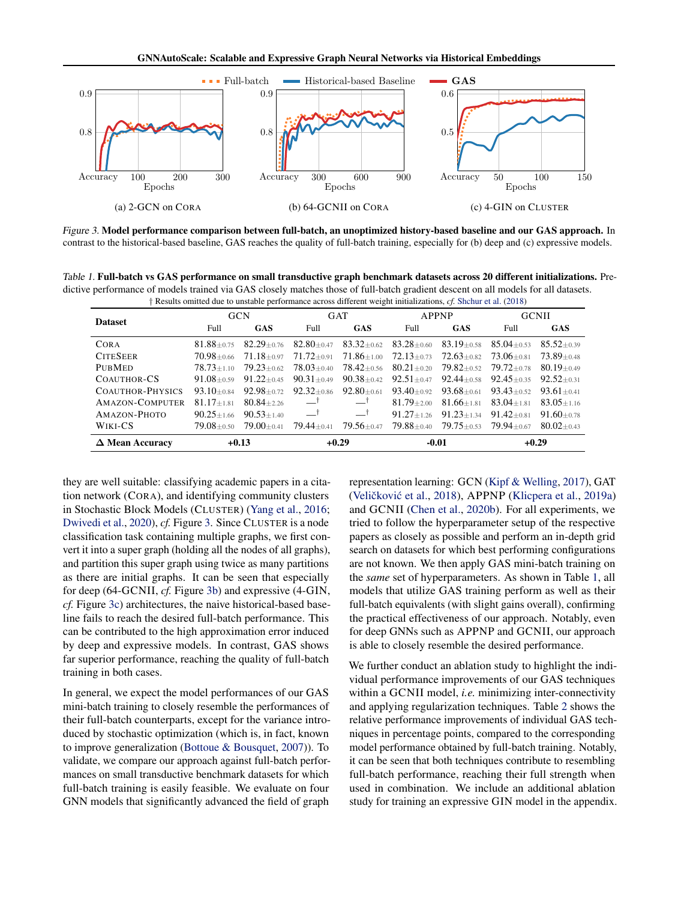

Figure 3. Model performance comparison between full-batch, an unoptimized history-based baseline and our GAS approach. In contrast to the historical-based baseline, GAS reaches the quality of full-batch training, especially for (b) deep and (c) expressive models.

Table 1. Full-batch vs GAS performance on small transductive graph benchmark datasets across 20 different initializations. Predictive performance of models trained via GAS closely matches those of full-batch gradient descent on all models for all datasets.

| † Results omitted due to unstable performance across different weight initializations, cf. Shchur et al. (2018) |                |                |                |                |                |                |                |                |
|-----------------------------------------------------------------------------------------------------------------|----------------|----------------|----------------|----------------|----------------|----------------|----------------|----------------|
| <b>Dataset</b>                                                                                                  | <b>GCN</b>     |                | <b>GAT</b>     |                | <b>APPNP</b>   |                | <b>GCNII</b>   |                |
|                                                                                                                 | Full           | <b>GAS</b>     | Full.          | GAS            | Full           | <b>GAS</b>     | Full           | <b>GAS</b>     |
| <b>CORA</b>                                                                                                     | $81.88 + 0.75$ | $82.29 + 0.76$ | $82.80 + 0.47$ | $83.32 + 0.62$ | $83.28 + 0.60$ | $83.19 + 0.58$ | $85.04 + 0.53$ | $85.52 + 0.39$ |
| <b>CITESEER</b>                                                                                                 | $70.98 + 0.66$ | $71.18 + 0.97$ | $71.72 + 0.91$ | $71.86 + 1.00$ | $72.13 + 0.73$ | $72.63 + 0.82$ | $73.06 + 0.81$ | $73.89 + 0.48$ |
| <b>PUBMED</b>                                                                                                   | $78.73 + 110$  | $79.23 + 0.62$ | $78.03 + 0.40$ | $78.42 + 0.56$ | $80.21 + 0.20$ | $79.82 + 0.52$ | $79.72 + 0.78$ | $80.19 + 0.49$ |
| COAUTHOR-CS                                                                                                     | $91.08 + 0.59$ | $91.22 + 0.45$ | $90.31 + 0.49$ | $90.38 + 0.42$ | $92.51 + 0.47$ | $92.44 + 0.58$ | $92.45 + 0.35$ | $92.52 + 0.31$ |
| <b>COAUTHOR-PHYSICS</b>                                                                                         | $93.10 + 0.84$ | $92.98 + 0.72$ | $92.32 + 0.86$ | $92.80 + 0.61$ | $93.40 + 0.92$ | $93.68 + 0.61$ | $93.43 + 0.52$ | $93.61 + 0.41$ |
| AMAZON-COMPUTER                                                                                                 | $81.17 + 1.81$ | $80.84 + 2.26$ |                | —†             | $81.79 + 2.00$ | $81.66 + 1.81$ | $83.04 + 1.81$ | $83.05 + 1.16$ |
| AMAZON-PHOTO                                                                                                    | $90.25 + 1.66$ | $90.53 + 1.40$ | 一†             | $-$ †          | $91.27 + 1.26$ | $91.23 + 1.34$ | $91.42 + 0.81$ | $91.60 + 0.78$ |
| WIKI-CS                                                                                                         | $79.08 + 0.50$ | $79.00 + 0.41$ | $79.44 + 0.41$ | $79.56 + 0.47$ | $79.88 + 0.40$ | $79.75 + 0.53$ | $79.94 + 0.67$ | $80.02 + 0.43$ |
| $\Delta$ Mean Accuracy                                                                                          | $+0.13$        |                | $+0.29$        |                | $-0.01$        |                | $+0.29$        |                |

they are well suitable: classifying academic papers in a citation network (CORA), and identifying community clusters in Stochastic Block Models (CLUSTER) [\(Yang et al.,](#page-10-0) [2016;](#page-10-0) [Dwivedi et al.,](#page-9-0) [2020\)](#page-9-0), *cf.* Figure 3. Since CLUSTER is a node classification task containing multiple graphs, we first convert it into a super graph (holding all the nodes of all graphs), and partition this super graph using twice as many partitions as there are initial graphs. It can be seen that especially for deep (64-GCNII, *cf.* Figure 3b) and expressive (4-GIN, *cf.* Figure 3c) architectures, the naive historical-based baseline fails to reach the desired full-batch performance. This can be contributed to the high approximation error induced by deep and expressive models. In contrast, GAS shows far superior performance, reaching the quality of full-batch training in both cases.

In general, we expect the model performances of our GAS mini-batch training to closely resemble the performances of their full-batch counterparts, except for the variance introduced by stochastic optimization (which is, in fact, known to improve generalization [\(Bottoue & Bousquet,](#page-9-0) [2007\)](#page-9-0)). To validate, we compare our approach against full-batch performances on small transductive benchmark datasets for which full-batch training is easily feasible. We evaluate on four GNN models that significantly advanced the field of graph

representation learning: GCN [\(Kipf & Welling,](#page-9-0) [2017\)](#page-9-0), GAT (Veličković et al., [2018\)](#page-10-0), APPNP [\(Klicpera et al.,](#page-9-0) [2019a\)](#page-9-0) and GCNII [\(Chen et al.,](#page-9-0) [2020b\)](#page-9-0). For all experiments, we tried to follow the hyperparameter setup of the respective papers as closely as possible and perform an in-depth grid search on datasets for which best performing configurations are not known. We then apply GAS mini-batch training on the *same* set of hyperparameters. As shown in Table 1, all models that utilize GAS training perform as well as their full-batch equivalents (with slight gains overall), confirming the practical effectiveness of our approach. Notably, even for deep GNNs such as APPNP and GCNII, our approach is able to closely resemble the desired performance.

We further conduct an ablation study to highlight the individual performance improvements of our GAS techniques within a GCNII model, *i.e.* minimizing inter-connectivity and applying regularization techniques. Table [2](#page-7-0) shows the relative performance improvements of individual GAS techniques in percentage points, compared to the corresponding model performance obtained by full-batch training. Notably, it can be seen that both techniques contribute to resembling full-batch performance, reaching their full strength when used in combination. We include an additional ablation study for training an expressive GIN model in the appendix.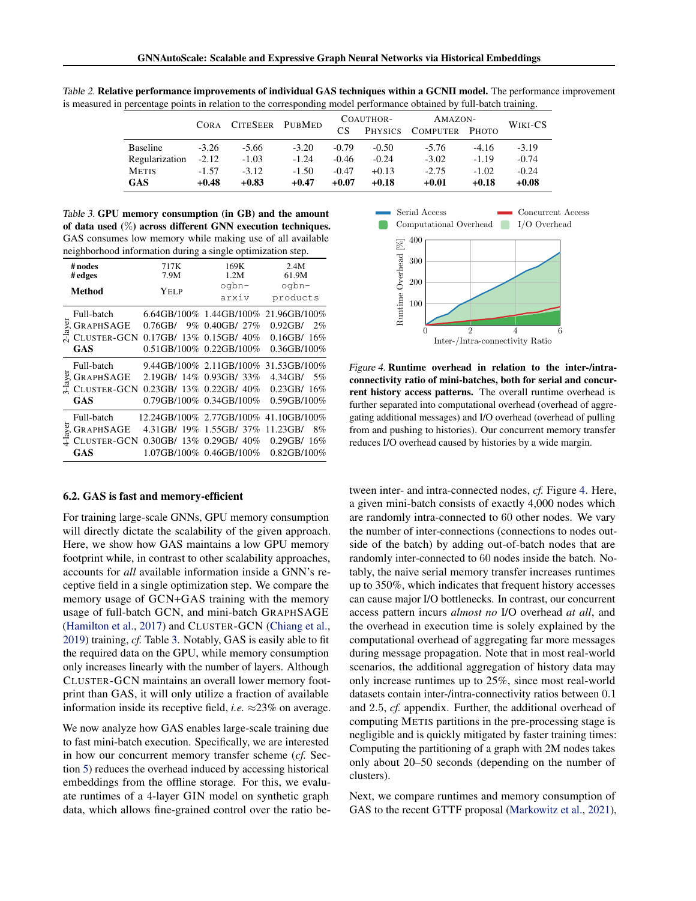|                 | <b>CORA</b> | <b>CITESEER</b> | PUBMED  | COAUTHOR- |                | AMAZON-        |         | WIKI-CS |
|-----------------|-------------|-----------------|---------|-----------|----------------|----------------|---------|---------|
|                 |             |                 |         | CS        | <b>PHYSICS</b> | COMPUTER PHOTO |         |         |
| <b>Baseline</b> | $-3.26$     | $-5.66$         | $-3.20$ | $-0.79$   | $-0.50$        | $-5.76$        | $-4.16$ | $-3.19$ |
| Regularization  | $-2.12$     | $-1.03$         | $-1.24$ | $-0.46$   | $-0.24$        | $-3.02$        | $-1.19$ | $-0.74$ |
| <b>METIS</b>    | $-1.57$     | $-3.12$         | $-1.50$ | $-0.47$   | $+0.13$        | $-2.75$        | $-1.02$ | $-0.24$ |
| <b>GAS</b>      | $+0.48$     | $+0.83$         | $+0.47$ | $+0.07$   | $+0.18$        | $+0.01$        | $+0.18$ | $+0.08$ |

<span id="page-7-0"></span>Table 2. Relative performance improvements of individual GAS techniques within a GCNII model. The performance improvement is measured in percentage points in relation to the corresponding model performance obtained by full-batch training.

Table 3. GPU memory consumption (in GB) and the amount of data used (%) across different GNN execution techniques. GAS consumes low memory while making use of all available neighborhood information during a single optimization step.

| # nodes<br>#edges<br><b>Method</b> |                  | 717K<br>7.9M<br>Yel p | 169K<br>1.2M<br>$\alpha$         | 2.4M<br>61.9M<br>oqbn-<br>products   |  |  |
|------------------------------------|------------------|-----------------------|----------------------------------|--------------------------------------|--|--|
|                                    |                  |                       | arxiv                            |                                      |  |  |
|                                    | Full-batch       |                       |                                  | 6.64GB/100% 1.44GB/100% 21.96GB/100% |  |  |
| 2-layer                            | <b>GRAPHSAGE</b> | $0.76$ GB/            | 9% 0.40GB/ 27%                   | $0.92$ GB/<br>2%                     |  |  |
|                                    | CLUSTER-GCN      |                       | $0.17$ GB/ $13\%$ 0.15GB/ $40\%$ | $0.16$ GB $/16%$                     |  |  |
|                                    | GAS              |                       | $0.51$ GB/100% $0.22$ GB/100%    | $0.36$ GB/100%                       |  |  |
|                                    | Full-batch       |                       |                                  | 9.44GB/100% 2.11GB/100% 31.53GB/100% |  |  |
| ayer                               | <b>GRAPHSAGE</b> |                       | 2.19GB/ 14% 0.93GB/ 33%          | $4.34$ GB/<br>$-5%$                  |  |  |
| 고                                  | CLUSTER-GCN      |                       | $0.23$ GB/ $13\%$ 0.22GB/ $40\%$ | $0.23$ GB/ $16%$                     |  |  |
|                                    | GAS              |                       | $0.79$ GB/100% $0.34$ GB/100%    | 0.59GB/100%                          |  |  |
| ayer                               | Full-batch       |                       | 12.24GB/100% 2.77GB/100%         | 41.10GB/100%                         |  |  |
|                                    | <b>GRAPHSAGE</b> | 4.31GB/ 19%           | 1.55GB/ $37%$                    | 11.23GB/<br>8%                       |  |  |
|                                    | CLUSTER-GCN      |                       | $0.30$ GB/ $13\%$ 0.29GB/ $40\%$ | $0.29$ GB/ $16%$                     |  |  |
|                                    | <b>GAS</b>       |                       | 1.07GB/100% 0.46GB/100%          | 0.82GB/100%                          |  |  |

#### 6.2. GAS is fast and memory-efficient

For training large-scale GNNs, GPU memory consumption will directly dictate the scalability of the given approach. Here, we show how GAS maintains a low GPU memory footprint while, in contrast to other scalability approaches, accounts for *all* available information inside a GNN's receptive field in a single optimization step. We compare the memory usage of GCN+GAS training with the memory usage of full-batch GCN, and mini-batch GRAPHSAGE [\(Hamilton et al.,](#page-9-0) [2017\)](#page-9-0) and CLUSTER-GCN [\(Chiang et al.,](#page-9-0) [2019\)](#page-9-0) training, *cf.* Table 3. Notably, GAS is easily able to fit the required data on the GPU, while memory consumption only increases linearly with the number of layers. Although CLUSTER-GCN maintains an overall lower memory footprint than GAS, it will only utilize a fraction of available information inside its receptive field, *i.e.*  $\approx$  23% on average.

We now analyze how GAS enables large-scale training due to fast mini-batch execution. Specifically, we are interested in how our concurrent memory transfer scheme (*cf.* Section [5\)](#page-5-0) reduces the overhead induced by accessing historical embeddings from the offline storage. For this, we evaluate runtimes of a 4-layer GIN model on synthetic graph data, which allows fine-grained control over the ratio be-



Figure 4. Runtime overhead in relation to the inter-/intraconnectivity ratio of mini-batches, both for serial and concurrent history access patterns. The overall runtime overhead is further separated into computational overhead (overhead of aggregating additional messages) and I/O overhead (overhead of pulling from and pushing to histories). Our concurrent memory transfer reduces I/O overhead caused by histories by a wide margin.

tween inter- and intra-connected nodes, *cf.* Figure 4. Here, a given mini-batch consists of exactly 4,000 nodes which are randomly intra-connected to 60 other nodes. We vary the number of inter-connections (connections to nodes outside of the batch) by adding out-of-batch nodes that are randomly inter-connected to 60 nodes inside the batch. Notably, the naive serial memory transfer increases runtimes up to 350%, which indicates that frequent history accesses can cause major I/O bottlenecks. In contrast, our concurrent access pattern incurs *almost no* I/O overhead *at all*, and the overhead in execution time is solely explained by the computational overhead of aggregating far more messages during message propagation. Note that in most real-world scenarios, the additional aggregation of history data may only increase runtimes up to 25%, since most real-world datasets contain inter-/intra-connectivity ratios between 0.1 and 2.5, *cf.* appendix. Further, the additional overhead of computing METIS partitions in the pre-processing stage is negligible and is quickly mitigated by faster training times: Computing the partitioning of a graph with 2M nodes takes only about 20–50 seconds (depending on the number of clusters).

Next, we compare runtimes and memory consumption of GAS to the recent GTTF proposal [\(Markowitz et al.,](#page-9-0) [2021\)](#page-9-0),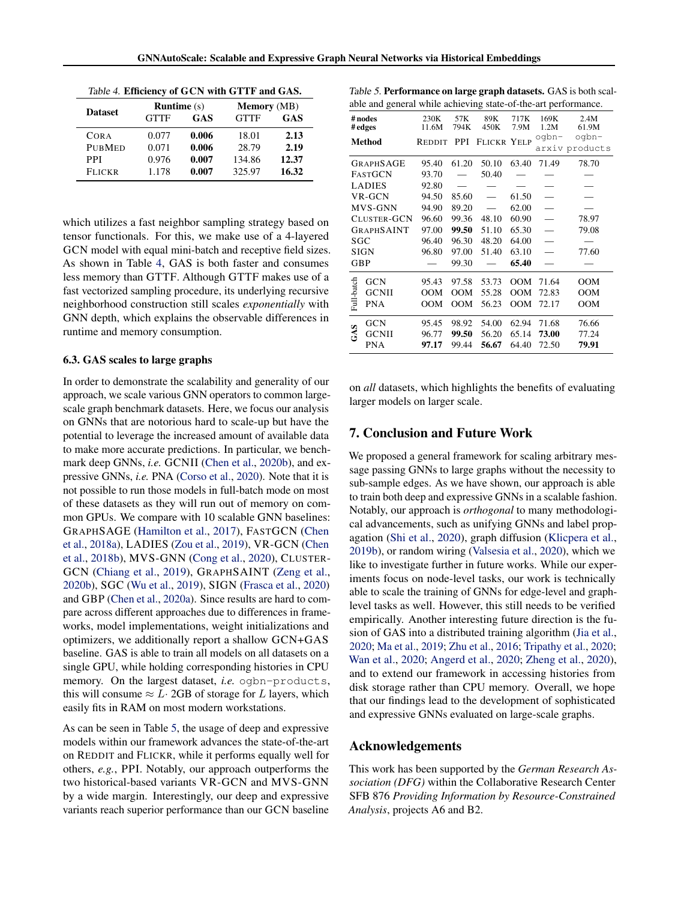|  | Table 4. Efficiency of GCN with GTTF and GAS. |  |  |  |  |  |  |
|--|-----------------------------------------------|--|--|--|--|--|--|
|--|-----------------------------------------------|--|--|--|--|--|--|

| <b>Dataset</b> | <b>Runtime</b> $(s)$ |       | <b>Memory</b> (MB) |       |  |  |
|----------------|----------------------|-------|--------------------|-------|--|--|
|                | <b>GTTF</b>          | GAS   | <b>GTTF</b>        | GAS   |  |  |
| <b>CORA</b>    | 0.077                | 0.006 | 18.01              | 2.13  |  |  |
| <b>PUBMED</b>  | 0.071                | 0.006 | 28.79              | 2.19  |  |  |
| <b>PPI</b>     | 0.976                | 0.007 | 134.86             | 12.37 |  |  |
| <b>FLICKR</b>  | 1.178                | 0.007 | 325.97             | 16.32 |  |  |

which utilizes a fast neighbor sampling strategy based on tensor functionals. For this, we make use of a 4-layered GCN model with equal mini-batch and receptive field sizes. As shown in Table 4, GAS is both faster and consumes less memory than GTTF. Although GTTF makes use of a fast vectorized sampling procedure, its underlying recursive neighborhood construction still scales *exponentially* with GNN depth, which explains the observable differences in runtime and memory consumption.

#### 6.3. GAS scales to large graphs

In order to demonstrate the scalability and generality of our approach, we scale various GNN operators to common largescale graph benchmark datasets. Here, we focus our analysis on GNNs that are notorious hard to scale-up but have the potential to leverage the increased amount of available data to make more accurate predictions. In particular, we benchmark deep GNNs, *i.e.* GCNII [\(Chen et al.,](#page-9-0) [2020b\)](#page-9-0), and expressive GNNs, *i.e.* PNA [\(Corso et al.,](#page-9-0) [2020\)](#page-9-0). Note that it is not possible to run those models in full-batch mode on most of these datasets as they will run out of memory on common GPUs. We compare with 10 scalable GNN baselines: GRAPHSAGE [\(Hamilton et al.,](#page-9-0) [2017\)](#page-9-0), FASTGCN [\(Chen](#page-9-0) [et al.,](#page-9-0) [2018a\)](#page-9-0), LADIES [\(Zou et al.,](#page-10-0) [2019\)](#page-10-0), VR-GCN [\(Chen](#page-9-0) [et al.,](#page-9-0) [2018b\)](#page-9-0), MVS-GNN [\(Cong et al.,](#page-9-0) [2020\)](#page-9-0), CLUSTER-GCN [\(Chiang et al.,](#page-9-0) [2019\)](#page-9-0), GRAPHSAINT [\(Zeng et al.,](#page-10-0) [2020b\)](#page-10-0), SGC [\(Wu et al.,](#page-10-0) [2019\)](#page-10-0), SIGN [\(Frasca et al.,](#page-9-0) [2020\)](#page-9-0) and GBP [\(Chen et al.,](#page-9-0) [2020a\)](#page-9-0). Since results are hard to compare across different approaches due to differences in frameworks, model implementations, weight initializations and optimizers, we additionally report a shallow GCN+GAS baseline. GAS is able to train all models on all datasets on a single GPU, while holding corresponding histories in CPU memory. On the largest dataset, *i.e.* ogbn-products, this will consume  $\approx L \cdot 2GB$  of storage for L layers, which easily fits in RAM on most modern workstations.

As can be seen in Table 5, the usage of deep and expressive models within our framework advances the state-of-the-art on REDDIT and FLICKR, while it performs equally well for others, *e.g.*, PPI. Notably, our approach outperforms the two historical-based variants VR-GCN and MVS-GNN by a wide margin. Interestingly, our deep and expressive variants reach superior performance than our GCN baseline

| Table 5. Performance on large graph datasets. GAS is both scal- |  |
|-----------------------------------------------------------------|--|
| able and general while achieving state-of-the-art performance.  |  |

|             | able and general while achieving state-of-the-art performance. |               |             |                          |              |                          |                          |  |  |
|-------------|----------------------------------------------------------------|---------------|-------------|--------------------------|--------------|--------------------------|--------------------------|--|--|
|             | # nodes<br>#edges                                              | 230K<br>11.6M | 57K<br>794K | 89K<br>450K              | 717K<br>7.9M | 169K<br>1.2M             | 2.4M<br>61.9M            |  |  |
|             | Method                                                         | REDDIT        | PPI         | <b>FLICKR YELP</b>       |              | oqbn-                    | oqbn-<br>arxiv products  |  |  |
|             | <b>GRAPHSAGE</b>                                               | 95.40         | 61.20       | 50.10                    | 63.40        | 71.49                    | 78.70                    |  |  |
|             | <b>FASTGCN</b>                                                 | 93.70         |             | 50.40                    |              |                          |                          |  |  |
|             | <b>LADIES</b>                                                  | 92.80         |             |                          |              |                          |                          |  |  |
|             | VR-GCN                                                         | 94.50         | 85.60       | $\overline{\phantom{0}}$ | 61.50        | $\overline{\phantom{0}}$ | $\overline{\phantom{0}}$ |  |  |
|             | MVS-GNN                                                        | 94.90         | 89.20       |                          | 62.00        |                          |                          |  |  |
| CLUSTER-GCN |                                                                | 96.60         | 99.36       | 48.10                    | 60.90        | $\overline{\phantom{0}}$ | 78.97                    |  |  |
|             | <b>GRAPHSAINT</b>                                              | 97.00         | 99.50       | 51.10                    | 65.30        | $\overline{\phantom{0}}$ | 79.08                    |  |  |
| SGC         |                                                                | 96.40         | 96.30       | 48.20                    | 64.00        |                          |                          |  |  |
|             | <b>SIGN</b>                                                    | 96.80         | 97.00       | 51.40                    | 63.10        |                          | 77.60                    |  |  |
| <b>GBP</b>  |                                                                |               | 99.30       |                          | 65.40        |                          |                          |  |  |
|             | <b>GCN</b>                                                     | 95.43         | 97.58       | 53.73                    | <b>OOM</b>   | 71.64                    | OOM                      |  |  |
|             | <b>GCNII</b>                                                   | OOM           | <b>OOM</b>  | 55.28                    | <b>OOM</b>   | 72.83                    | <b>OOM</b>               |  |  |
| Full-batch  | <b>PNA</b>                                                     | <b>OOM</b>    | <b>OOM</b>  | 56.23                    | <b>OOM</b>   | 72.17                    | <b>OOM</b>               |  |  |
|             | <b>GCN</b>                                                     | 95.45         | 98.92       | 54.00                    | 62.94        | 71.68                    | 76.66                    |  |  |
| GAS         | <b>GCNII</b>                                                   | 96.77         | 99.50       | 56.20                    | 65.14        | 73.00                    | 77.24                    |  |  |
|             | <b>PNA</b>                                                     | 97.17         | 99.44       | 56.67                    | 64.40        | 72.50                    | 79.91                    |  |  |
|             |                                                                |               |             |                          |              |                          |                          |  |  |

on *all* datasets, which highlights the benefits of evaluating larger models on larger scale.

#### 7. Conclusion and Future Work

We proposed a general framework for scaling arbitrary message passing GNNs to large graphs without the necessity to sub-sample edges. As we have shown, our approach is able to train both deep and expressive GNNs in a scalable fashion. Notably, our approach is *orthogonal* to many methodological advancements, such as unifying GNNs and label propagation [\(Shi et al.,](#page-10-0) [2020\)](#page-10-0), graph diffusion [\(Klicpera et al.,](#page-9-0) [2019b\)](#page-9-0), or random wiring [\(Valsesia et al.,](#page-10-0) [2020\)](#page-10-0), which we like to investigate further in future works. While our experiments focus on node-level tasks, our work is technically able to scale the training of GNNs for edge-level and graphlevel tasks as well. However, this still needs to be verified empirically. Another interesting future direction is the fusion of GAS into a distributed training algorithm [\(Jia et al.,](#page-9-0) [2020;](#page-9-0) [Ma et al.,](#page-9-0) [2019;](#page-9-0) [Zhu et al.,](#page-10-0) [2016;](#page-10-0) [Tripathy et al.,](#page-10-0) [2020;](#page-10-0) [Wan et al.,](#page-10-0) [2020;](#page-10-0) [Angerd et al.,](#page-9-0) [2020;](#page-9-0) [Zheng et al.,](#page-10-0) [2020\)](#page-10-0), and to extend our framework in accessing histories from disk storage rather than CPU memory. Overall, we hope that our findings lead to the development of sophisticated and expressive GNNs evaluated on large-scale graphs.

#### Acknowledgements

This work has been supported by the *German Research Association (DFG)* within the Collaborative Research Center SFB 876 *Providing Information by Resource-Constrained Analysis*, projects A6 and B2.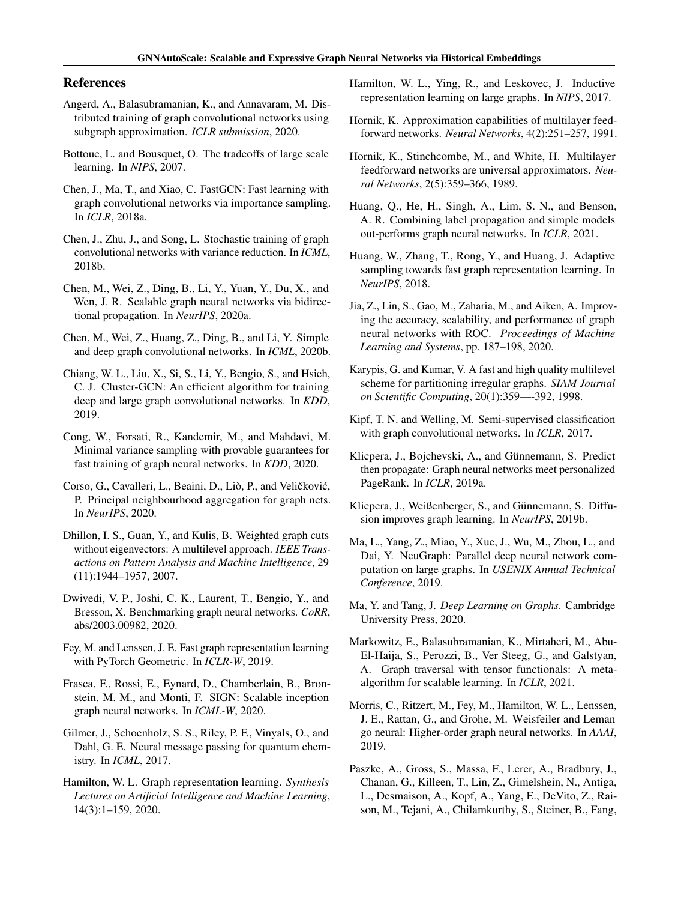#### <span id="page-9-0"></span>References

- Angerd, A., Balasubramanian, K., and Annavaram, M. Distributed training of graph convolutional networks using subgraph approximation. *ICLR submission*, 2020.
- Bottoue, L. and Bousquet, O. The tradeoffs of large scale learning. In *NIPS*, 2007.
- Chen, J., Ma, T., and Xiao, C. FastGCN: Fast learning with graph convolutional networks via importance sampling. In *ICLR*, 2018a.
- Chen, J., Zhu, J., and Song, L. Stochastic training of graph convolutional networks with variance reduction. In *ICML*, 2018b.
- Chen, M., Wei, Z., Ding, B., Li, Y., Yuan, Y., Du, X., and Wen, J. R. Scalable graph neural networks via bidirectional propagation. In *NeurIPS*, 2020a.
- Chen, M., Wei, Z., Huang, Z., Ding, B., and Li, Y. Simple and deep graph convolutional networks. In *ICML*, 2020b.
- Chiang, W. L., Liu, X., Si, S., Li, Y., Bengio, S., and Hsieh, C. J. Cluster-GCN: An efficient algorithm for training deep and large graph convolutional networks. In *KDD*, 2019.
- Cong, W., Forsati, R., Kandemir, M., and Mahdavi, M. Minimal variance sampling with provable guarantees for fast training of graph neural networks. In *KDD*, 2020.
- Corso, G., Cavalleri, L., Beaini, D., Liò, P., and Veličković, P. Principal neighbourhood aggregation for graph nets. In *NeurIPS*, 2020.
- Dhillon, I. S., Guan, Y., and Kulis, B. Weighted graph cuts without eigenvectors: A multilevel approach. *IEEE Transactions on Pattern Analysis and Machine Intelligence*, 29 (11):1944–1957, 2007.
- Dwivedi, V. P., Joshi, C. K., Laurent, T., Bengio, Y., and Bresson, X. Benchmarking graph neural networks. *CoRR*, abs/2003.00982, 2020.
- Fey, M. and Lenssen, J. E. Fast graph representation learning with PyTorch Geometric. In *ICLR-W*, 2019.
- Frasca, F., Rossi, E., Eynard, D., Chamberlain, B., Bronstein, M. M., and Monti, F. SIGN: Scalable inception graph neural networks. In *ICML-W*, 2020.
- Gilmer, J., Schoenholz, S. S., Riley, P. F., Vinyals, O., and Dahl, G. E. Neural message passing for quantum chemistry. In *ICML*, 2017.
- Hamilton, W. L. Graph representation learning. *Synthesis Lectures on Artificial Intelligence and Machine Learning*, 14(3):1–159, 2020.
- Hamilton, W. L., Ying, R., and Leskovec, J. Inductive representation learning on large graphs. In *NIPS*, 2017.
- Hornik, K. Approximation capabilities of multilayer feedforward networks. *Neural Networks*, 4(2):251–257, 1991.
- Hornik, K., Stinchcombe, M., and White, H. Multilayer feedforward networks are universal approximators. *Neural Networks*, 2(5):359–366, 1989.
- Huang, Q., He, H., Singh, A., Lim, S. N., and Benson, A. R. Combining label propagation and simple models out-performs graph neural networks. In *ICLR*, 2021.
- Huang, W., Zhang, T., Rong, Y., and Huang, J. Adaptive sampling towards fast graph representation learning. In *NeurIPS*, 2018.
- Jia, Z., Lin, S., Gao, M., Zaharia, M., and Aiken, A. Improving the accuracy, scalability, and performance of graph neural networks with ROC. *Proceedings of Machine Learning and Systems*, pp. 187–198, 2020.
- Karypis, G. and Kumar, V. A fast and high quality multilevel scheme for partitioning irregular graphs. *SIAM Journal on Scientific Computing*, 20(1):359—-392, 1998.
- Kipf, T. N. and Welling, M. Semi-supervised classification with graph convolutional networks. In *ICLR*, 2017.
- Klicpera, J., Bojchevski, A., and Günnemann, S. Predict then propagate: Graph neural networks meet personalized PageRank. In *ICLR*, 2019a.
- Klicpera, J., Weißenberger, S., and Günnemann, S. Diffusion improves graph learning. In *NeurIPS*, 2019b.
- Ma, L., Yang, Z., Miao, Y., Xue, J., Wu, M., Zhou, L., and Dai, Y. NeuGraph: Parallel deep neural network computation on large graphs. In *USENIX Annual Technical Conference*, 2019.
- Ma, Y. and Tang, J. *Deep Learning on Graphs*. Cambridge University Press, 2020.
- Markowitz, E., Balasubramanian, K., Mirtaheri, M., Abu-El-Haija, S., Perozzi, B., Ver Steeg, G., and Galstyan, A. Graph traversal with tensor functionals: A metaalgorithm for scalable learning. In *ICLR*, 2021.
- Morris, C., Ritzert, M., Fey, M., Hamilton, W. L., Lenssen, J. E., Rattan, G., and Grohe, M. Weisfeiler and Leman go neural: Higher-order graph neural networks. In *AAAI*, 2019.
- Paszke, A., Gross, S., Massa, F., Lerer, A., Bradbury, J., Chanan, G., Killeen, T., Lin, Z., Gimelshein, N., Antiga, L., Desmaison, A., Kopf, A., Yang, E., DeVito, Z., Raison, M., Tejani, A., Chilamkurthy, S., Steiner, B., Fang,